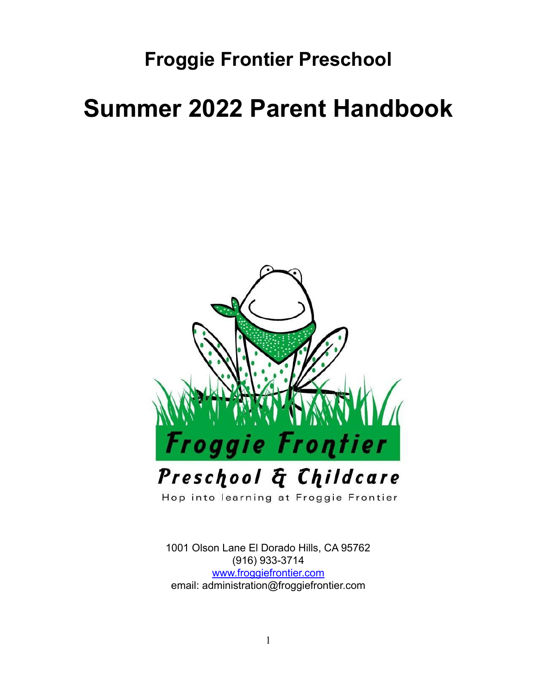# **Froggie Frontier Preschool**

# **Summer 2022 Parent Handbook**



1001 Olson Lane El Dorado Hills, CA 95762 (916) 933-3714 [www.froggiefrontier.com](http://www.froggiefrontier.com) email: administration@froggiefrontier.com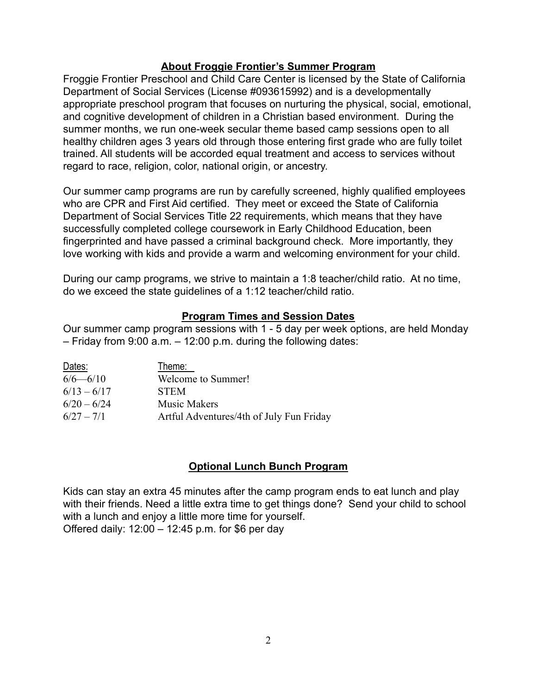#### **About Froggie Frontier's Summer Program**

Froggie Frontier Preschool and Child Care Center is licensed by the State of California Department of Social Services (License #093615992) and is a developmentally appropriate preschool program that focuses on nurturing the physical, social, emotional, and cognitive development of children in a Christian based environment. During the summer months, we run one-week secular theme based camp sessions open to all healthy children ages 3 years old through those entering first grade who are fully toilet trained. All students will be accorded equal treatment and access to services without regard to race, religion, color, national origin, or ancestry.

Our summer camp programs are run by carefully screened, highly qualified employees who are CPR and First Aid certified. They meet or exceed the State of California Department of Social Services Title 22 requirements, which means that they have successfully completed college coursework in Early Childhood Education, been fingerprinted and have passed a criminal background check. More importantly, they love working with kids and provide a warm and welcoming environment for your child.

During our camp programs, we strive to maintain a 1:8 teacher/child ratio. At no time, do we exceed the state guidelines of a 1:12 teacher/child ratio.

#### **Program Times and Session Dates**

Our summer camp program sessions with 1 - 5 day per week options, are held Monday – Friday from 9:00 a.m. – 12:00 p.m. during the following dates:

| Dates:        | Theme:                                   |
|---------------|------------------------------------------|
| $6/6 - 6/10$  | Welcome to Summer!                       |
| $6/13 - 6/17$ | <b>STEM</b>                              |
| $6/20 - 6/24$ | <b>Music Makers</b>                      |
| $6/27 - 7/1$  | Artful Adventures/4th of July Fun Friday |

#### **Optional Lunch Bunch Program**

Kids can stay an extra 45 minutes after the camp program ends to eat lunch and play with their friends. Need a little extra time to get things done? Send your child to school with a lunch and enjoy a little more time for yourself. Offered daily: 12:00 – 12:45 p.m. for \$6 per day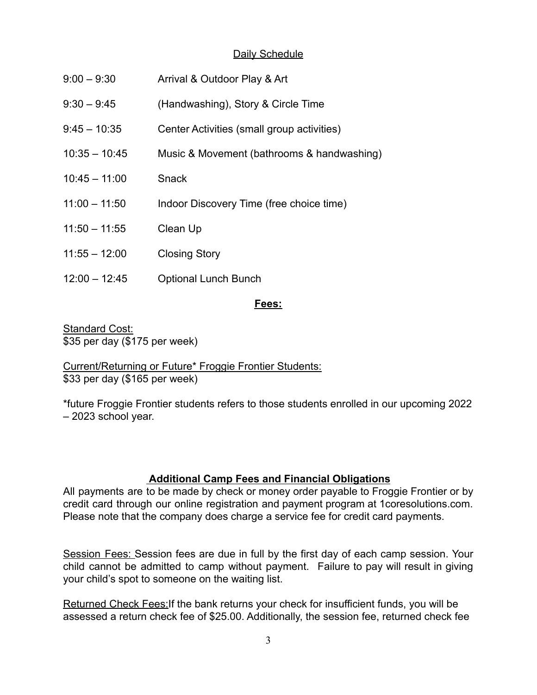# Daily Schedule

| $9:00 - 9:30$   | Arrival & Outdoor Play & Art               |
|-----------------|--------------------------------------------|
| $9:30 - 9:45$   | (Handwashing), Story & Circle Time         |
| $9:45 - 10:35$  | Center Activities (small group activities) |
| $10:35 - 10:45$ | Music & Movement (bathrooms & handwashing) |
| $10:45 - 11:00$ | <b>Snack</b>                               |
| $11:00 - 11:50$ | Indoor Discovery Time (free choice time)   |
| $11:50 - 11:55$ | Clean Up                                   |
| $11:55 - 12:00$ | <b>Closing Story</b>                       |
| $12:00 - 12:45$ | <b>Optional Lunch Bunch</b>                |

#### **Fees:**

Standard Cost: \$35 per day (\$175 per week)

Current/Returning or Future\* Froggie Frontier Students: \$33 per day (\$165 per week)

\*future Froggie Frontier students refers to those students enrolled in our upcoming 2022 – 2023 school year.

#### **Additional Camp Fees and Financial Obligations**

All payments are to be made by check or money order payable to Froggie Frontier or by credit card through our online registration and payment program at 1coresolutions.com. Please note that the company does charge a service fee for credit card payments.

Session Fees: Session fees are due in full by the first day of each camp session. Your child cannot be admitted to camp without payment. Failure to pay will result in giving your child's spot to someone on the waiting list.

Returned Check Fees:If the bank returns your check for insufficient funds, you will be assessed a return check fee of \$25.00. Additionally, the session fee, returned check fee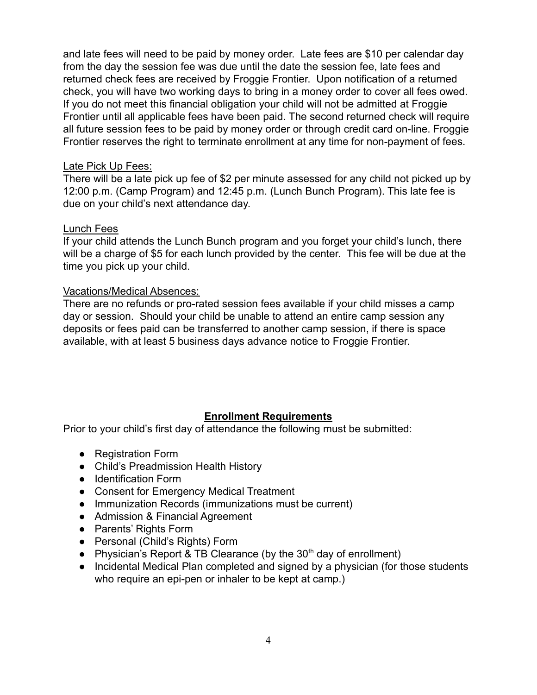and late fees will need to be paid by money order. Late fees are \$10 per calendar day from the day the session fee was due until the date the session fee, late fees and returned check fees are received by Froggie Frontier. Upon notification of a returned check, you will have two working days to bring in a money order to cover all fees owed. If you do not meet this financial obligation your child will not be admitted at Froggie Frontier until all applicable fees have been paid. The second returned check will require all future session fees to be paid by money order or through credit card on-line. Froggie Frontier reserves the right to terminate enrollment at any time for non-payment of fees.

#### Late Pick Up Fees:

There will be a late pick up fee of \$2 per minute assessed for any child not picked up by 12:00 p.m. (Camp Program) and 12:45 p.m. (Lunch Bunch Program). This late fee is due on your child's next attendance day.

#### Lunch Fees

If your child attends the Lunch Bunch program and you forget your child's lunch, there will be a charge of \$5 for each lunch provided by the center. This fee will be due at the time you pick up your child.

#### Vacations/Medical Absences:

There are no refunds or pro-rated session fees available if your child misses a camp day or session. Should your child be unable to attend an entire camp session any deposits or fees paid can be transferred to another camp session, if there is space available, with at least 5 business days advance notice to Froggie Frontier.

# **Enrollment Requirements**

Prior to your child's first day of attendance the following must be submitted:

- Registration Form
- Child's Preadmission Health History
- Identification Form
- Consent for Emergency Medical Treatment
- Immunization Records (immunizations must be current)
- Admission & Financial Agreement
- Parents' Rights Form
- Personal (Child's Rights) Form
- Physician's Report & TB Clearance (by the  $30<sup>th</sup>$  day of enrollment)
- Incidental Medical Plan completed and signed by a physician (for those students who require an epi-pen or inhaler to be kept at camp.)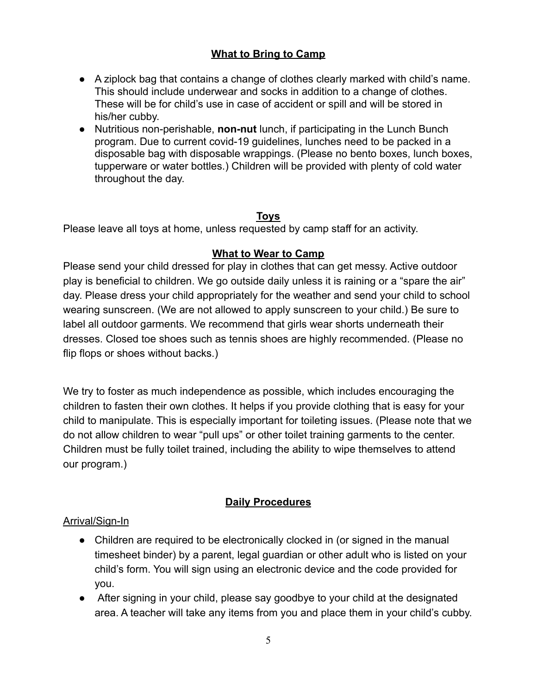# **What to Bring to Camp**

- A ziplock bag that contains a change of clothes clearly marked with child's name. This should include underwear and socks in addition to a change of clothes. These will be for child's use in case of accident or spill and will be stored in his/her cubby.
- Nutritious non-perishable, **non-nut** lunch, if participating in the Lunch Bunch program. Due to current covid-19 guidelines, lunches need to be packed in a disposable bag with disposable wrappings. (Please no bento boxes, lunch boxes, tupperware or water bottles.) Children will be provided with plenty of cold water throughout the day.

# **Toys**

Please leave all toys at home, unless requested by camp staff for an activity.

#### **What to Wear to Camp**

Please send your child dressed for play in clothes that can get messy. Active outdoor play is beneficial to children. We go outside daily unless it is raining or a "spare the air" day. Please dress your child appropriately for the weather and send your child to school wearing sunscreen. (We are not allowed to apply sunscreen to your child.) Be sure to label all outdoor garments. We recommend that girls wear shorts underneath their dresses. Closed toe shoes such as tennis shoes are highly recommended. (Please no flip flops or shoes without backs.)

We try to foster as much independence as possible, which includes encouraging the children to fasten their own clothes. It helps if you provide clothing that is easy for your child to manipulate. This is especially important for toileting issues. (Please note that we do not allow children to wear "pull ups" or other toilet training garments to the center. Children must be fully toilet trained, including the ability to wipe themselves to attend our program.)

# **Daily Procedures**

#### Arrival/Sign-In

- Children are required to be electronically clocked in (or signed in the manual timesheet binder) by a parent, legal guardian or other adult who is listed on your child's form. You will sign using an electronic device and the code provided for you.
- After signing in your child, please say goodbye to your child at the designated area. A teacher will take any items from you and place them in your child's cubby.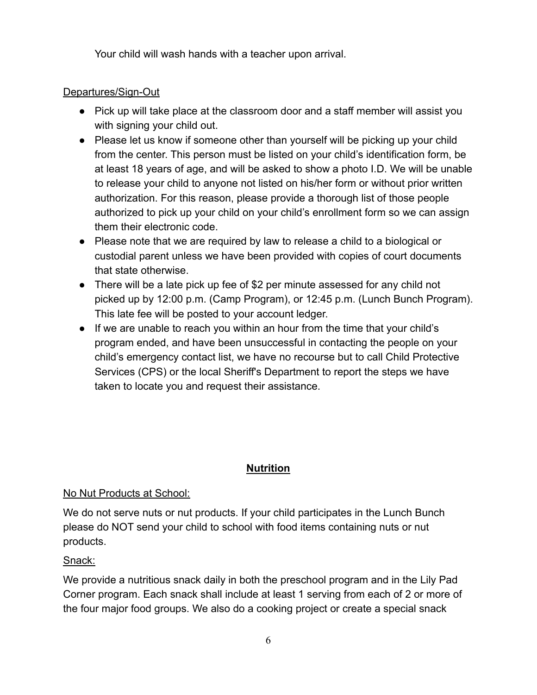Your child will wash hands with a teacher upon arrival.

# Departures/Sign-Out

- Pick up will take place at the classroom door and a staff member will assist you with signing your child out.
- Please let us know if someone other than yourself will be picking up your child from the center. This person must be listed on your child's identification form, be at least 18 years of age, and will be asked to show a photo I.D. We will be unable to release your child to anyone not listed on his/her form or without prior written authorization. For this reason, please provide a thorough list of those people authorized to pick up your child on your child's enrollment form so we can assign them their electronic code.
- Please note that we are required by law to release a child to a biological or custodial parent unless we have been provided with copies of court documents that state otherwise.
- There will be a late pick up fee of \$2 per minute assessed for any child not picked up by 12:00 p.m. (Camp Program), or 12:45 p.m. (Lunch Bunch Program). This late fee will be posted to your account ledger.
- If we are unable to reach you within an hour from the time that your child's program ended, and have been unsuccessful in contacting the people on your child's emergency contact list, we have no recourse but to call Child Protective Services (CPS) or the local Sheriff's Department to report the steps we have taken to locate you and request their assistance.

# **Nutrition**

#### No Nut Products at School:

We do not serve nuts or nut products. If your child participates in the Lunch Bunch please do NOT send your child to school with food items containing nuts or nut products.

#### Snack:

We provide a nutritious snack daily in both the preschool program and in the Lily Pad Corner program. Each snack shall include at least 1 serving from each of 2 or more of the four major food groups. We also do a cooking project or create a special snack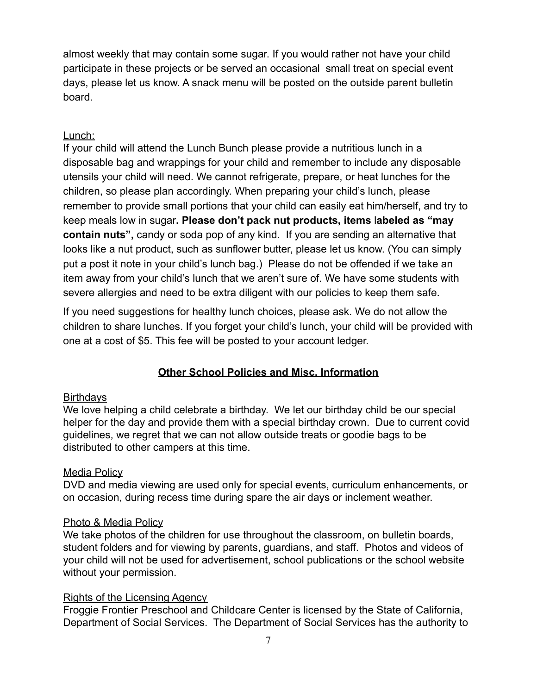almost weekly that may contain some sugar. If you would rather not have your child participate in these projects or be served an occasional small treat on special event days, please let us know. A snack menu will be posted on the outside parent bulletin board.

#### Lunch:

If your child will attend the Lunch Bunch please provide a nutritious lunch in a disposable bag and wrappings for your child and remember to include any disposable utensils your child will need. We cannot refrigerate, prepare, or heat lunches for the children, so please plan accordingly. When preparing your child's lunch, please remember to provide small portions that your child can easily eat him/herself, and try to keep meals low in sugar**. Please don't pack nut products, items** l**abeled as "may contain nuts",** candy or soda pop of any kind. If you are sending an alternative that looks like a nut product, such as sunflower butter, please let us know. (You can simply put a post it note in your child's lunch bag.) Please do not be offended if we take an item away from your child's lunch that we aren't sure of. We have some students with severe allergies and need to be extra diligent with our policies to keep them safe.

If you need suggestions for healthy lunch choices, please ask. We do not allow the children to share lunches. If you forget your child's lunch, your child will be provided with one at a cost of \$5. This fee will be posted to your account ledger.

# **Other School Policies and Misc. Information**

# **Birthdays**

We love helping a child celebrate a birthday. We let our birthday child be our special helper for the day and provide them with a special birthday crown. Due to current covid guidelines, we regret that we can not allow outside treats or goodie bags to be distributed to other campers at this time.

#### Media Policy

DVD and media viewing are used only for special events, curriculum enhancements, or on occasion, during recess time during spare the air days or inclement weather.

#### Photo & Media Policy

We take photos of the children for use throughout the classroom, on bulletin boards, student folders and for viewing by parents, guardians, and staff. Photos and videos of your child will not be used for advertisement, school publications or the school website without your permission.

# Rights of the Licensing Agency

Froggie Frontier Preschool and Childcare Center is licensed by the State of California, Department of Social Services. The Department of Social Services has the authority to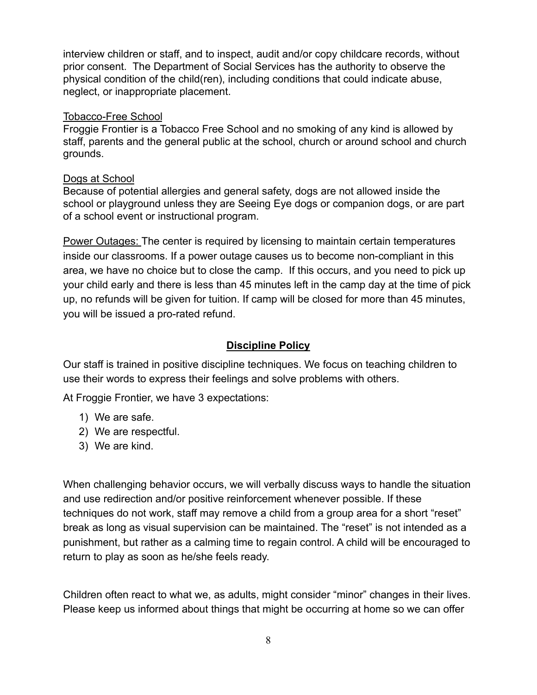interview children or staff, and to inspect, audit and/or copy childcare records, without prior consent. The Department of Social Services has the authority to observe the physical condition of the child(ren), including conditions that could indicate abuse, neglect, or inappropriate placement.

#### Tobacco-Free School

Froggie Frontier is a Tobacco Free School and no smoking of any kind is allowed by staff, parents and the general public at the school, church or around school and church grounds.

#### Dogs at School

Because of potential allergies and general safety, dogs are not allowed inside the school or playground unless they are Seeing Eye dogs or companion dogs, or are part of a school event or instructional program.

Power Outages: The center is required by licensing to maintain certain temperatures inside our classrooms. If a power outage causes us to become non-compliant in this area, we have no choice but to close the camp. If this occurs, and you need to pick up your child early and there is less than 45 minutes left in the camp day at the time of pick up, no refunds will be given for tuition. If camp will be closed for more than 45 minutes, you will be issued a pro-rated refund.

#### **Discipline Policy**

Our staff is trained in positive discipline techniques. We focus on teaching children to use their words to express their feelings and solve problems with others.

At Froggie Frontier, we have 3 expectations:

- 1) We are safe.
- 2) We are respectful.
- 3) We are kind.

When challenging behavior occurs, we will verbally discuss ways to handle the situation and use redirection and/or positive reinforcement whenever possible. If these techniques do not work, staff may remove a child from a group area for a short "reset" break as long as visual supervision can be maintained. The "reset" is not intended as a punishment, but rather as a calming time to regain control. A child will be encouraged to return to play as soon as he/she feels ready.

Children often react to what we, as adults, might consider "minor" changes in their lives. Please keep us informed about things that might be occurring at home so we can offer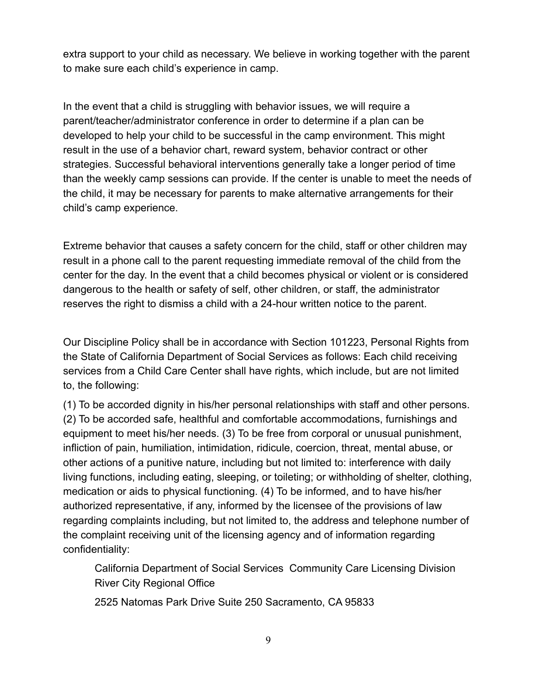extra support to your child as necessary. We believe in working together with the parent to make sure each child's experience in camp.

In the event that a child is struggling with behavior issues, we will require a parent/teacher/administrator conference in order to determine if a plan can be developed to help your child to be successful in the camp environment. This might result in the use of a behavior chart, reward system, behavior contract or other strategies. Successful behavioral interventions generally take a longer period of time than the weekly camp sessions can provide. If the center is unable to meet the needs of the child, it may be necessary for parents to make alternative arrangements for their child's camp experience.

Extreme behavior that causes a safety concern for the child, staff or other children may result in a phone call to the parent requesting immediate removal of the child from the center for the day. In the event that a child becomes physical or violent or is considered dangerous to the health or safety of self, other children, or staff, the administrator reserves the right to dismiss a child with a 24-hour written notice to the parent.

Our Discipline Policy shall be in accordance with Section 101223, Personal Rights from the State of California Department of Social Services as follows: Each child receiving services from a Child Care Center shall have rights, which include, but are not limited to, the following:

(1) To be accorded dignity in his/her personal relationships with staff and other persons. (2) To be accorded safe, healthful and comfortable accommodations, furnishings and equipment to meet his/her needs. (3) To be free from corporal or unusual punishment, infliction of pain, humiliation, intimidation, ridicule, coercion, threat, mental abuse, or other actions of a punitive nature, including but not limited to: interference with daily living functions, including eating, sleeping, or toileting; or withholding of shelter, clothing, medication or aids to physical functioning. (4) To be informed, and to have his/her authorized representative, if any, informed by the licensee of the provisions of law regarding complaints including, but not limited to, the address and telephone number of the complaint receiving unit of the licensing agency and of information regarding confidentiality:

California Department of Social Services Community Care Licensing Division River City Regional Office

2525 Natomas Park Drive Suite 250 Sacramento, CA 95833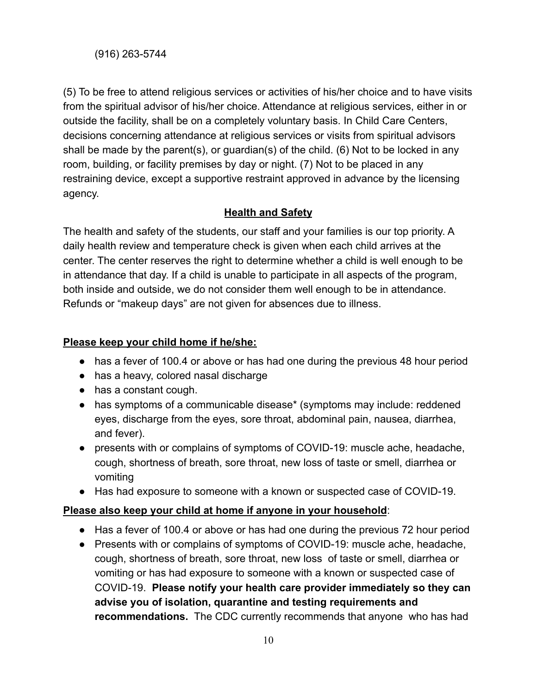(5) To be free to attend religious services or activities of his/her choice and to have visits from the spiritual advisor of his/her choice. Attendance at religious services, either in or outside the facility, shall be on a completely voluntary basis. In Child Care Centers, decisions concerning attendance at religious services or visits from spiritual advisors shall be made by the parent(s), or guardian(s) of the child. (6) Not to be locked in any room, building, or facility premises by day or night. (7) Not to be placed in any restraining device, except a supportive restraint approved in advance by the licensing agency.

# **Health and Safety**

The health and safety of the students, our staff and your families is our top priority. A daily health review and temperature check is given when each child arrives at the center. The center reserves the right to determine whether a child is well enough to be in attendance that day. If a child is unable to participate in all aspects of the program, both inside and outside, we do not consider them well enough to be in attendance. Refunds or "makeup days" are not given for absences due to illness.

#### **Please keep your child home if he/she:**

- has a fever of 100.4 or above or has had one during the previous 48 hour period
- has a heavy, colored nasal discharge
- has a constant cough.
- has symptoms of a communicable disease\* (symptoms may include: reddened eyes, discharge from the eyes, sore throat, abdominal pain, nausea, diarrhea, and fever).
- presents with or complains of symptoms of COVID-19: muscle ache, headache, cough, shortness of breath, sore throat, new loss of taste or smell, diarrhea or vomiting
- Has had exposure to someone with a known or suspected case of COVID-19.

# **Please also keep your child at home if anyone in your household**:

- Has a fever of 100.4 or above or has had one during the previous 72 hour period
- Presents with or complains of symptoms of COVID-19: muscle ache, headache, cough, shortness of breath, sore throat, new loss of taste or smell, diarrhea or vomiting or has had exposure to someone with a known or suspected case of COVID-19. **Please notify your health care provider immediately so they can advise you of isolation, quarantine and testing requirements and recommendations.** The CDC currently recommends that anyone who has had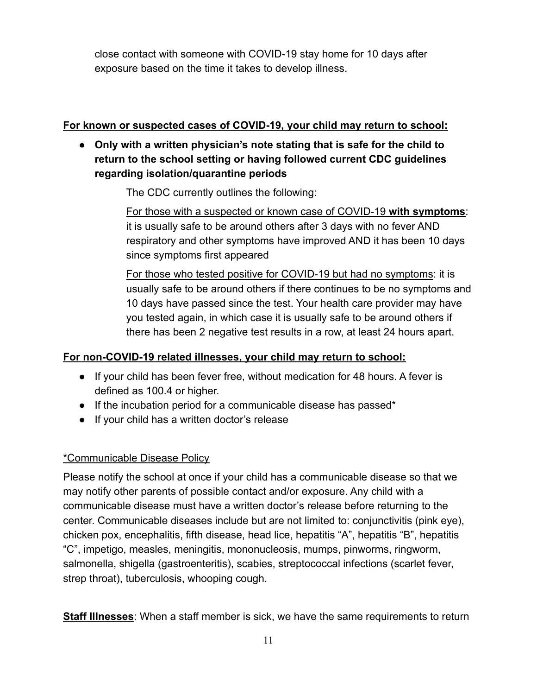close contact with someone with COVID-19 stay home for 10 days after exposure based on the time it takes to develop illness.

# **For known or suspected cases of COVID-19, your child may return to school:**

**● Only with a written physician's note stating that is safe for the child to return to the school setting or having followed current CDC guidelines regarding isolation/quarantine periods**

The CDC currently outlines the following:

For those with a suspected or known case of COVID-19 **with symptoms**: it is usually safe to be around others after 3 days with no fever AND respiratory and other symptoms have improved AND it has been 10 days since symptoms first appeared

For those who tested positive for COVID-19 but had no symptoms: it is usually safe to be around others if there continues to be no symptoms and 10 days have passed since the test. Your health care provider may have you tested again, in which case it is usually safe to be around others if there has been 2 negative test results in a row, at least 24 hours apart.

# **For non-COVID-19 related illnesses, your child may return to school:**

- If your child has been fever free, without medication for 48 hours. A fever is defined as 100.4 or higher.
- If the incubation period for a communicable disease has passed\*
- If your child has a written doctor's release

# \*Communicable Disease Policy

Please notify the school at once if your child has a communicable disease so that we may notify other parents of possible contact and/or exposure. Any child with a communicable disease must have a written doctor's release before returning to the center. Communicable diseases include but are not limited to: conjunctivitis (pink eye), chicken pox, encephalitis, fifth disease, head lice, hepatitis "A", hepatitis "B", hepatitis "C", impetigo, measles, meningitis, mononucleosis, mumps, pinworms, ringworm, salmonella, shigella (gastroenteritis), scabies, streptococcal infections (scarlet fever, strep throat), tuberculosis, whooping cough.

**Staff Illnesses**: When a staff member is sick, we have the same requirements to return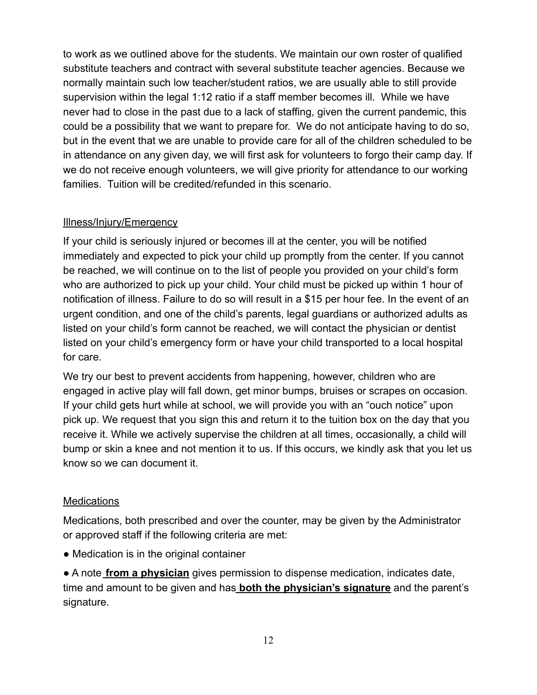to work as we outlined above for the students. We maintain our own roster of qualified substitute teachers and contract with several substitute teacher agencies. Because we normally maintain such low teacher/student ratios, we are usually able to still provide supervision within the legal 1:12 ratio if a staff member becomes ill. While we have never had to close in the past due to a lack of staffing, given the current pandemic, this could be a possibility that we want to prepare for. We do not anticipate having to do so, but in the event that we are unable to provide care for all of the children scheduled to be in attendance on any given day, we will first ask for volunteers to forgo their camp day. If we do not receive enough volunteers, we will give priority for attendance to our working families. Tuition will be credited/refunded in this scenario.

#### Illness/Injury/Emergency

If your child is seriously injured or becomes ill at the center, you will be notified immediately and expected to pick your child up promptly from the center. If you cannot be reached, we will continue on to the list of people you provided on your child's form who are authorized to pick up your child. Your child must be picked up within 1 hour of notification of illness. Failure to do so will result in a \$15 per hour fee. In the event of an urgent condition, and one of the child's parents, legal guardians or authorized adults as listed on your child's form cannot be reached, we will contact the physician or dentist listed on your child's emergency form or have your child transported to a local hospital for care.

We try our best to prevent accidents from happening, however, children who are engaged in active play will fall down, get minor bumps, bruises or scrapes on occasion. If your child gets hurt while at school, we will provide you with an "ouch notice" upon pick up. We request that you sign this and return it to the tuition box on the day that you receive it. While we actively supervise the children at all times, occasionally, a child will bump or skin a knee and not mention it to us. If this occurs, we kindly ask that you let us know so we can document it.

# **Medications**

Medications, both prescribed and over the counter, may be given by the Administrator or approved staff if the following criteria are met:

• Medication is in the original container

● A note **from a physician** gives permission to dispense medication, indicates date, time and amount to be given and has **both the physician's signature** and the parent's signature.